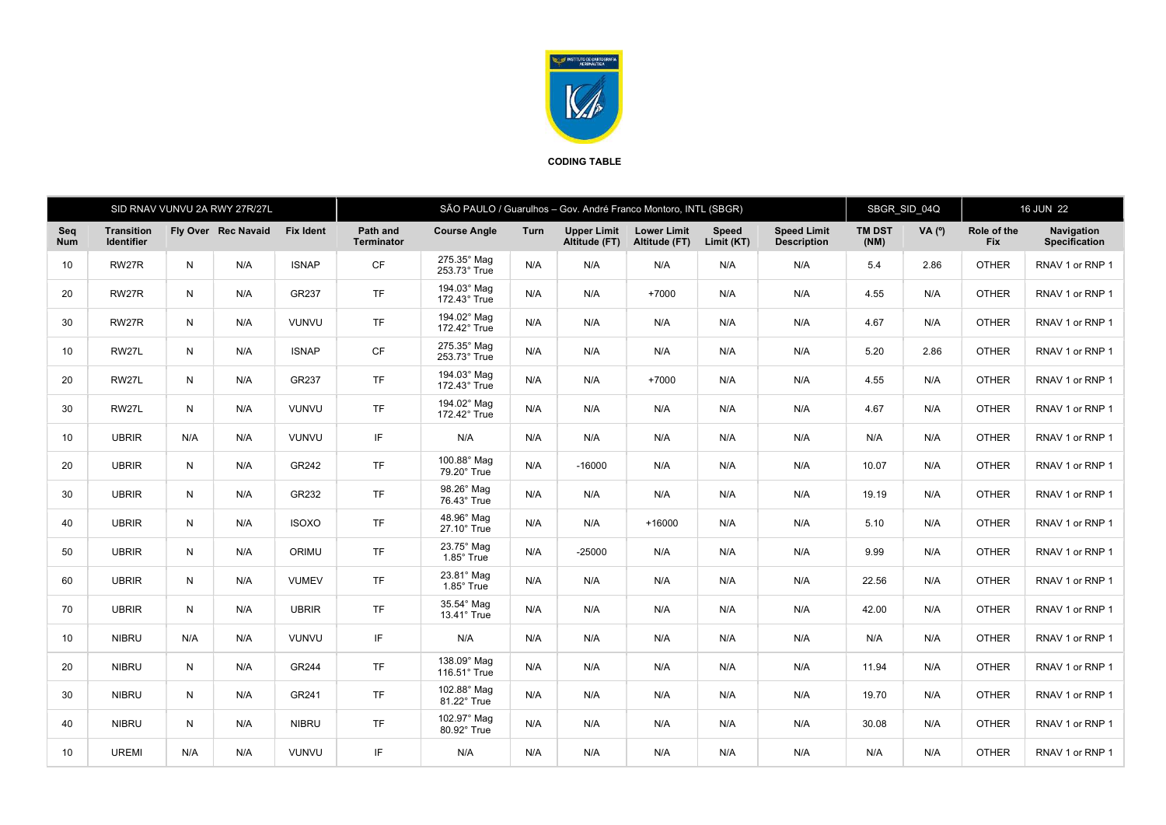

## CODING TABLE

|                   | SID RNAV VUNVU 2A RWY 27R/27L          |     |                     |                  | SÃO PAULO / Guarulhos - Gov. André Franco Montoro, INTL (SBGR) |                             |      |                                     |                                     |                     |                                          | SBGR SID 04Q          |          | 16 JUN 22                 |                                    |
|-------------------|----------------------------------------|-----|---------------------|------------------|----------------------------------------------------------------|-----------------------------|------|-------------------------------------|-------------------------------------|---------------------|------------------------------------------|-----------------------|----------|---------------------------|------------------------------------|
| Seq<br><b>Num</b> | <b>Transition</b><br><b>Identifier</b> |     | Fly Over Rec Navaid | <b>Fix Ident</b> | Path and<br><b>Terminator</b>                                  | <b>Course Angle</b>         | Turn | <b>Upper Limit</b><br>Altitude (FT) | <b>Lower Limit</b><br>Altitude (FT) | Speed<br>Limit (KT) | <b>Speed Limit</b><br><b>Description</b> | <b>TM DST</b><br>(NM) | VA $(°)$ | Role of the<br><b>Fix</b> | Navigation<br><b>Specification</b> |
| 10                | RW27R                                  | N   | N/A                 | <b>ISNAP</b>     | <b>CF</b>                                                      | 275.35° Mag<br>253.73° True | N/A  | N/A                                 | N/A                                 | N/A                 | N/A                                      | 5.4                   | 2.86     | <b>OTHER</b>              | RNAV 1 or RNP 1                    |
| 20                | RW27R                                  | N   | N/A                 | GR237            | <b>TF</b>                                                      | 194.03° Mag<br>172.43° True | N/A  | N/A                                 | $+7000$                             | N/A                 | N/A                                      | 4.55                  | N/A      | <b>OTHER</b>              | RNAV 1 or RNP 1                    |
| 30                | RW27R                                  | N   | N/A                 | <b>VUNVU</b>     | <b>TF</b>                                                      | 194.02° Mag<br>172.42° True | N/A  | N/A                                 | N/A                                 | N/A                 | N/A                                      | 4.67                  | N/A      | <b>OTHER</b>              | RNAV 1 or RNP 1                    |
| 10                | RW27L                                  | N   | N/A                 | <b>ISNAP</b>     | CF                                                             | 275.35° Mag<br>253.73° True | N/A  | N/A                                 | N/A                                 | N/A                 | N/A                                      | 5.20                  | 2.86     | <b>OTHER</b>              | RNAV 1 or RNP 1                    |
| 20                | RW27L                                  | N   | N/A                 | GR237            | <b>TF</b>                                                      | 194.03° Mag<br>172.43° True | N/A  | N/A                                 | $+7000$                             | N/A                 | N/A                                      | 4.55                  | N/A      | <b>OTHER</b>              | RNAV 1 or RNP 1                    |
| 30                | RW27L                                  | N   | N/A                 | <b>VUNVU</b>     | <b>TF</b>                                                      | 194.02° Mag<br>172.42° True | N/A  | N/A                                 | N/A                                 | N/A                 | N/A                                      | 4.67                  | N/A      | <b>OTHER</b>              | RNAV 1 or RNP 1                    |
| 10                | <b>UBRIR</b>                           | N/A | N/A                 | <b>VUNVU</b>     | IF                                                             | N/A                         | N/A  | N/A                                 | N/A                                 | N/A                 | N/A                                      | N/A                   | N/A      | <b>OTHER</b>              | RNAV 1 or RNP 1                    |
| 20                | <b>UBRIR</b>                           | N   | N/A                 | GR242            | <b>TF</b>                                                      | 100.88° Mag<br>79.20° True  | N/A  | $-16000$                            | N/A                                 | N/A                 | N/A                                      | 10.07                 | N/A      | <b>OTHER</b>              | RNAV 1 or RNP 1                    |
| 30                | <b>UBRIR</b>                           | N   | N/A                 | GR232            | <b>TF</b>                                                      | 98.26° Mag<br>76.43° True   | N/A  | N/A                                 | N/A                                 | N/A                 | N/A                                      | 19.19                 | N/A      | <b>OTHER</b>              | RNAV 1 or RNP 1                    |
| 40                | <b>UBRIR</b>                           | N   | N/A                 | <b>ISOXO</b>     | <b>TF</b>                                                      | 48.96° Mag<br>27.10° True   | N/A  | N/A                                 | $+16000$                            | N/A                 | N/A                                      | 5.10                  | N/A      | <b>OTHER</b>              | RNAV 1 or RNP 1                    |
| 50                | <b>UBRIR</b>                           | N   | N/A                 | ORIMU            | <b>TF</b>                                                      | 23.75° Mag<br>1.85° True    | N/A  | $-25000$                            | N/A                                 | N/A                 | N/A                                      | 9.99                  | N/A      | <b>OTHER</b>              | RNAV 1 or RNP 1                    |
| 60                | <b>UBRIR</b>                           | N   | N/A                 | <b>VUMEV</b>     | <b>TF</b>                                                      | 23.81° Mag<br>1.85° True    | N/A  | N/A                                 | N/A                                 | N/A                 | N/A                                      | 22.56                 | N/A      | <b>OTHER</b>              | RNAV 1 or RNP 1                    |
| 70                | <b>UBRIR</b>                           | N   | N/A                 | <b>UBRIR</b>     | <b>TF</b>                                                      | 35.54° Mag<br>13.41° True   | N/A  | N/A                                 | N/A                                 | N/A                 | N/A                                      | 42.00                 | N/A      | <b>OTHER</b>              | RNAV 1 or RNP 1                    |
| 10                | <b>NIBRU</b>                           | N/A | N/A                 | <b>VUNVU</b>     | IF                                                             | N/A                         | N/A  | N/A                                 | N/A                                 | N/A                 | N/A                                      | N/A                   | N/A      | <b>OTHER</b>              | RNAV 1 or RNP 1                    |
| 20                | <b>NIBRU</b>                           | N   | N/A                 | GR244            | <b>TF</b>                                                      | 138.09° Mag<br>116.51° True | N/A  | N/A                                 | N/A                                 | N/A                 | N/A                                      | 11.94                 | N/A      | <b>OTHER</b>              | RNAV 1 or RNP 1                    |
| 30                | <b>NIBRU</b>                           | N   | N/A                 | GR241            | <b>TF</b>                                                      | 102.88° Mag<br>81.22° True  | N/A  | N/A                                 | N/A                                 | N/A                 | N/A                                      | 19.70                 | N/A      | <b>OTHER</b>              | RNAV 1 or RNP 1                    |
| 40                | <b>NIBRU</b>                           | N   | N/A                 | <b>NIBRU</b>     | <b>TF</b>                                                      | 102.97° Mag<br>80.92° True  | N/A  | N/A                                 | N/A                                 | N/A                 | N/A                                      | 30.08                 | N/A      | <b>OTHER</b>              | RNAV 1 or RNP 1                    |
| 10                | <b>UREMI</b>                           | N/A | N/A                 | <b>VUNVU</b>     | IF                                                             | N/A                         | N/A  | N/A                                 | N/A                                 | N/A                 | N/A                                      | N/A                   | N/A      | <b>OTHER</b>              | RNAV 1 or RNP 1                    |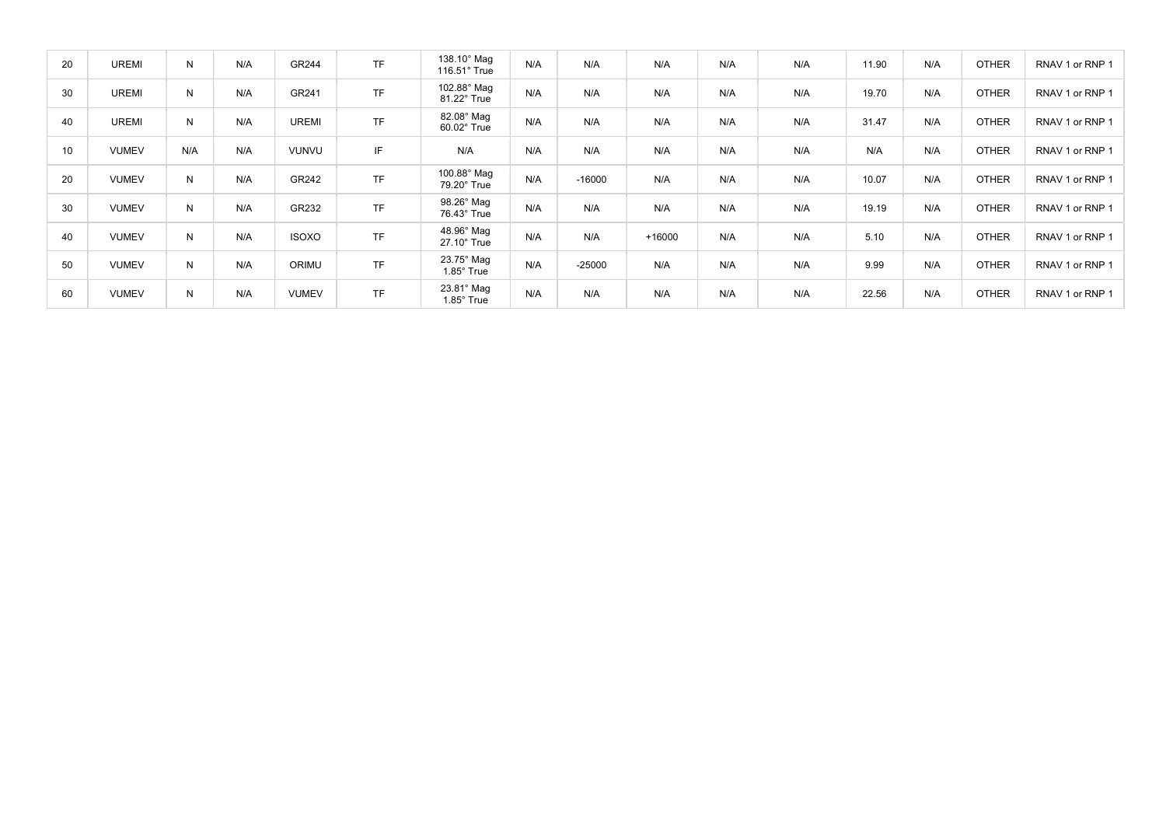| 20 | <b>UREMI</b> | N   | N/A | GR244        | TF        | 138.10° Mag<br>$116.51^\circ$ True     | N/A | N/A      | N/A      | N/A | N/A | 11.90 | N/A | <b>OTHER</b> | RNAV 1 or RNP 1 |
|----|--------------|-----|-----|--------------|-----------|----------------------------------------|-----|----------|----------|-----|-----|-------|-----|--------------|-----------------|
| 30 | <b>UREMI</b> | N   | N/A | GR241        | <b>TF</b> | 102.88° Mag<br>81.22° True             | N/A | N/A      | N/A      | N/A | N/A | 19.70 | N/A | <b>OTHER</b> | RNAV 1 or RNP 1 |
| 40 | <b>UREMI</b> | N   | N/A | <b>UREMI</b> | <b>TF</b> | 82.08° Mag<br>60.02° True              | N/A | N/A      | N/A      | N/A | N/A | 31.47 | N/A | <b>OTHER</b> | RNAV 1 or RNP 1 |
| 10 | <b>VUMEV</b> | N/A | N/A | <b>VUNVU</b> | IF        | N/A                                    | N/A | N/A      | N/A      | N/A | N/A | N/A   | N/A | <b>OTHER</b> | RNAV 1 or RNP 1 |
| 20 | <b>VUMEV</b> | N   | N/A | GR242        | <b>TF</b> | 100.88° Mag<br>79.20° True             | N/A | $-16000$ | N/A      | N/A | N/A | 10.07 | N/A | <b>OTHER</b> | RNAV 1 or RNP 1 |
| 30 | <b>VUMEV</b> | N   | N/A | GR232        | <b>TF</b> | 98.26° Mag<br>76.43° True              | N/A | N/A      | N/A      | N/A | N/A | 19.19 | N/A | <b>OTHER</b> | RNAV 1 or RNP 1 |
| 40 | <b>VUMEV</b> | N   | N/A | <b>ISOXO</b> | <b>TF</b> | 48.96° Mag<br>27.10° True              | N/A | N/A      | $+16000$ | N/A | N/A | 5.10  | N/A | <b>OTHER</b> | RNAV 1 or RNP 1 |
| 50 | <b>VUMEV</b> | N   | N/A | ORIMU        | <b>TF</b> | $23.75^\circ$ Mag<br>$1.85^\circ$ True | N/A | $-25000$ | N/A      | N/A | N/A | 9.99  | N/A | <b>OTHER</b> | RNAV 1 or RNP 1 |
| 60 | <b>VUMEV</b> | N   | N/A | <b>VUMEV</b> | <b>TF</b> | 23.81° Mag<br>$1.85^\circ$ True        | N/A | N/A      | N/A      | N/A | N/A | 22.56 | N/A | <b>OTHER</b> | RNAV 1 or RNP 1 |